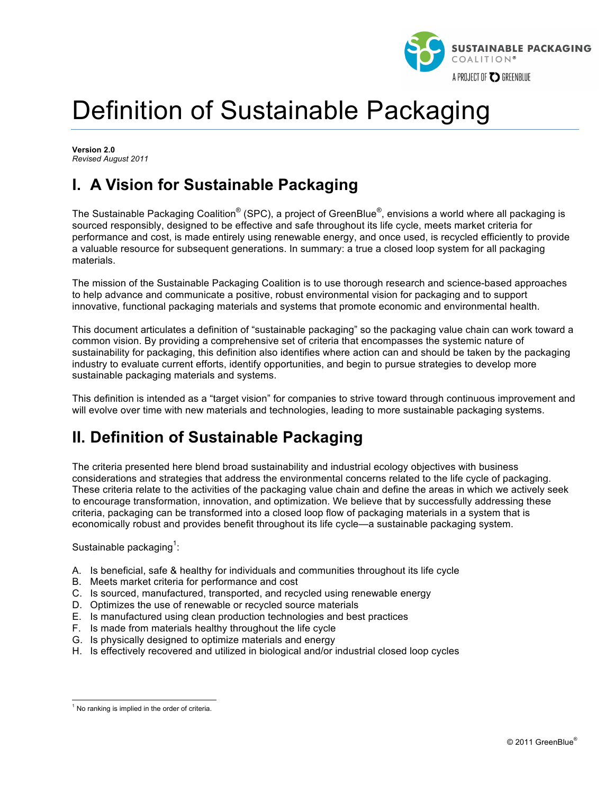

# Definition of Sustainable Packaging

**Version 2.0** *Revised August 2011*

# **I. A Vision for Sustainable Packaging**

The Sustainable Packaging Coalition $^{\circledast}$  (SPC), a project of GreenBlue $^{\circledast}$ , envisions a world where all packaging is sourced responsibly, designed to be effective and safe throughout its life cycle, meets market criteria for performance and cost, is made entirely using renewable energy, and once used, is recycled efficiently to provide a valuable resource for subsequent generations. In summary: a true a closed loop system for all packaging materials.

The mission of the Sustainable Packaging Coalition is to use thorough research and science-based approaches to help advance and communicate a positive, robust environmental vision for packaging and to support innovative, functional packaging materials and systems that promote economic and environmental health.

This document articulates a definition of "sustainable packaging" so the packaging value chain can work toward a common vision. By providing a comprehensive set of criteria that encompasses the systemic nature of sustainability for packaging, this definition also identifies where action can and should be taken by the packaging industry to evaluate current efforts, identify opportunities, and begin to pursue strategies to develop more sustainable packaging materials and systems.

This definition is intended as a "target vision" for companies to strive toward through continuous improvement and will evolve over time with new materials and technologies, leading to more sustainable packaging systems.

# **II. Definition of Sustainable Packaging**

The criteria presented here blend broad sustainability and industrial ecology objectives with business considerations and strategies that address the environmental concerns related to the life cycle of packaging. These criteria relate to the activities of the packaging value chain and define the areas in which we actively seek to encourage transformation, innovation, and optimization. We believe that by successfully addressing these criteria, packaging can be transformed into a closed loop flow of packaging materials in a system that is economically robust and provides benefit throughout its life cycle—a sustainable packaging system.

Sustainable packaging<sup>1</sup>:

- A. Is beneficial, safe & healthy for individuals and communities throughout its life cycle
- B. Meets market criteria for performance and cost
- C. Is sourced, manufactured, transported, and recycled using renewable energy
- D. Optimizes the use of renewable or recycled source materials
- E. Is manufactured using clean production technologies and best practices
- F. Is made from materials healthy throughout the life cycle
- G. Is physically designed to optimize materials and energy
- H. Is effectively recovered and utilized in biological and/or industrial closed loop cycles

 $<sup>1</sup>$  No ranking is implied in the order of criteria.</sup>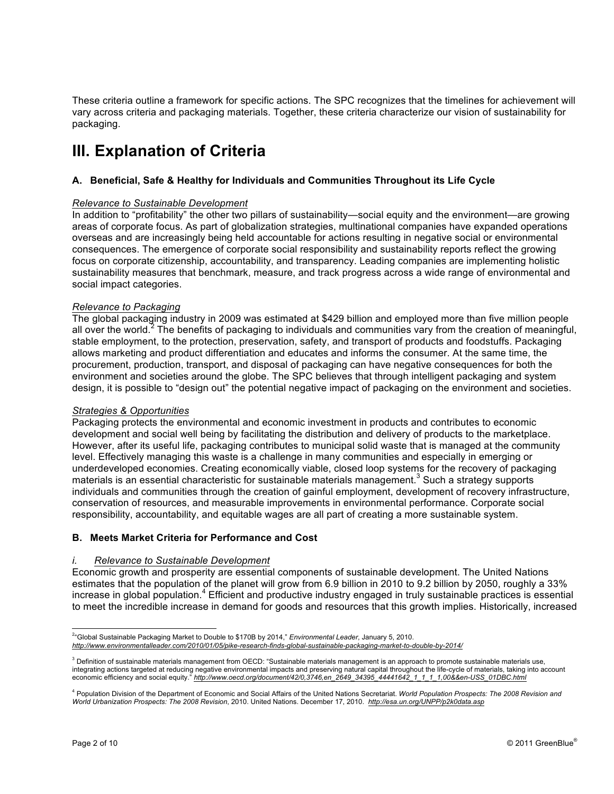These criteria outline a framework for specific actions. The SPC recognizes that the timelines for achievement will vary across criteria and packaging materials. Together, these criteria characterize our vision of sustainability for packaging.

# **III. Explanation of Criteria**

# **A. Beneficial, Safe & Healthy for Individuals and Communities Throughout its Life Cycle**

#### *Relevance to Sustainable Development*

In addition to "profitability" the other two pillars of sustainability—social equity and the environment—are growing areas of corporate focus. As part of globalization strategies, multinational companies have expanded operations overseas and are increasingly being held accountable for actions resulting in negative social or environmental consequences. The emergence of corporate social responsibility and sustainability reports reflect the growing focus on corporate citizenship, accountability, and transparency. Leading companies are implementing holistic sustainability measures that benchmark, measure, and track progress across a wide range of environmental and social impact categories.

#### *Relevance to Packaging*

The global packaging industry in 2009 was estimated at \$429 billion and employed more than five million people all over the world.<sup>2</sup> The benefits of packaging to individuals and communities vary from the creation of meaningful, stable employment, to the protection, preservation, safety, and transport of products and foodstuffs. Packaging allows marketing and product differentiation and educates and informs the consumer. At the same time, the procurement, production, transport, and disposal of packaging can have negative consequences for both the environment and societies around the globe. The SPC believes that through intelligent packaging and system design, it is possible to "design out" the potential negative impact of packaging on the environment and societies.

### *Strategies & Opportunities*

Packaging protects the environmental and economic investment in products and contributes to economic development and social well being by facilitating the distribution and delivery of products to the marketplace. However, after its useful life, packaging contributes to municipal solid waste that is managed at the community level. Effectively managing this waste is a challenge in many communities and especially in emerging or underdeveloped economies. Creating economically viable, closed loop systems for the recovery of packaging materials is an essential characteristic for sustainable materials management.<sup>3</sup> Such a strategy supports individuals and communities through the creation of gainful employment, development of recovery infrastructure, conservation of resources, and measurable improvements in environmental performance. Corporate social responsibility, accountability, and equitable wages are all part of creating a more sustainable system.

#### **B. Meets Market Criteria for Performance and Cost**

#### *i. Relevance to Sustainable Development*

Economic growth and prosperity are essential components of sustainable development. The United Nations estimates that the population of the planet will grow from 6.9 billion in 2010 to 9.2 billion by 2050, roughly a 33% increase in global population.<sup>4</sup> Efficient and productive industry engaged in truly sustainable practices is essential to meet the incredible increase in demand for goods and resources that this growth implies. Historically, increased

 $\frac{1}{2}$ "Global Sustainable Packaging Market to Double to \$170B by 2014," *Environmental Leader*, January 5, 2010. *http://www.environmentalleader.com/2010/01/05/pike-research-finds-global-sustainable-packaging-market-to-double-by-2014/*

 $3$  Definition of sustainable materials management from OECD: "Sustainable materials management is an approach to promote sustainable materials use, integrating actions targeted at reducing negative environmental impacts and preserving natural capital throughout the life-cycle of materials, taking into account economic efficiency and social equity." *http://www.oecd.org/document/42/0,3746,en\_2649\_34395\_44441642\_1\_1\_1\_1,00&&en-USS\_01DBC.html*

<sup>4</sup> Population Division of the Department of Economic and Social Affairs of the United Nations Secretariat. *World Population Prospects: The 2008 Revision and World Urbanization Prospects: The 2008 Revision*, 2010. United Nations. December 17, 2010. *http://esa.un.org/UNPP/p2k0data.asp*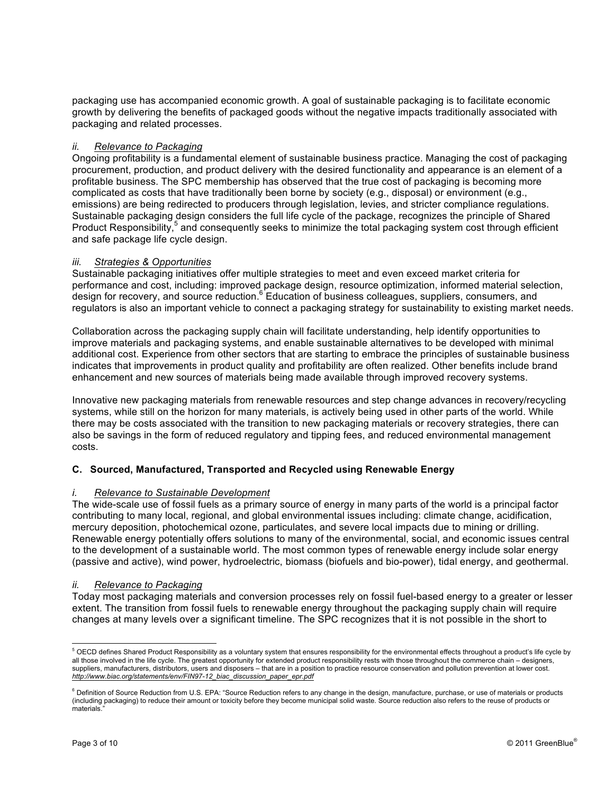packaging use has accompanied economic growth. A goal of sustainable packaging is to facilitate economic growth by delivering the benefits of packaged goods without the negative impacts traditionally associated with packaging and related processes.

# *ii. Relevance to Packaging*

Ongoing profitability is a fundamental element of sustainable business practice. Managing the cost of packaging procurement, production, and product delivery with the desired functionality and appearance is an element of a profitable business. The SPC membership has observed that the true cost of packaging is becoming more complicated as costs that have traditionally been borne by society (e.g., disposal) or environment (e.g., emissions) are being redirected to producers through legislation, levies, and stricter compliance regulations. Sustainable packaging design considers the full life cycle of the package, recognizes the principle of Shared Product Responsibility,<sup>5</sup> and consequently seeks to minimize the total packaging system cost through efficient and safe package life cycle design.

# *iii. Strategies & Opportunities*

Sustainable packaging initiatives offer multiple strategies to meet and even exceed market criteria for performance and cost, including: improved package design, resource optimization, informed material selection, design for recovery, and source reduction.<sup>6</sup> Education of business colleagues, suppliers, consumers, and regulators is also an important vehicle to connect a packaging strategy for sustainability to existing market needs.

Collaboration across the packaging supply chain will facilitate understanding, help identify opportunities to improve materials and packaging systems, and enable sustainable alternatives to be developed with minimal additional cost. Experience from other sectors that are starting to embrace the principles of sustainable business indicates that improvements in product quality and profitability are often realized. Other benefits include brand enhancement and new sources of materials being made available through improved recovery systems.

Innovative new packaging materials from renewable resources and step change advances in recovery/recycling systems, while still on the horizon for many materials, is actively being used in other parts of the world. While there may be costs associated with the transition to new packaging materials or recovery strategies, there can also be savings in the form of reduced regulatory and tipping fees, and reduced environmental management costs.

# **C. Sourced, Manufactured, Transported and Recycled using Renewable Energy**

#### *i. Relevance to Sustainable Development*

The wide-scale use of fossil fuels as a primary source of energy in many parts of the world is a principal factor contributing to many local, regional, and global environmental issues including: climate change, acidification, mercury deposition, photochemical ozone, particulates, and severe local impacts due to mining or drilling. Renewable energy potentially offers solutions to many of the environmental, social, and economic issues central to the development of a sustainable world. The most common types of renewable energy include solar energy (passive and active), wind power, hydroelectric, biomass (biofuels and bio-power), tidal energy, and geothermal.

#### *ii. Relevance to Packaging*

Today most packaging materials and conversion processes rely on fossil fuel-based energy to a greater or lesser extent. The transition from fossil fuels to renewable energy throughout the packaging supply chain will require changes at many levels over a significant timeline. The SPC recognizes that it is not possible in the short to

<sup>&</sup>lt;sup>5</sup> OECD defines Shared Product Responsibility as a voluntary system that ensures responsibility for the environmental effects throughout a product's life cycle by all those involved in the life cycle. The greatest opportunity for extended product responsibility rests with those throughout the commerce chain - designers, suppliers, manufacturers, distributors, users and disposers – that are in a position to practice resource conservation and pollution prevention at lower cost. *http://www.biac.org/statements/env/FIN97-12\_biac\_discussion\_paper\_epr.pdf*

<sup>&</sup>lt;sup>6</sup> Definition of Source Reduction from U.S. EPA: "Source Reduction refers to any change in the design, manufacture, purchase, or use of materials or products (including packaging) to reduce their amount or toxicity before they become municipal solid waste. Source reduction also refers to the reuse of products or materials."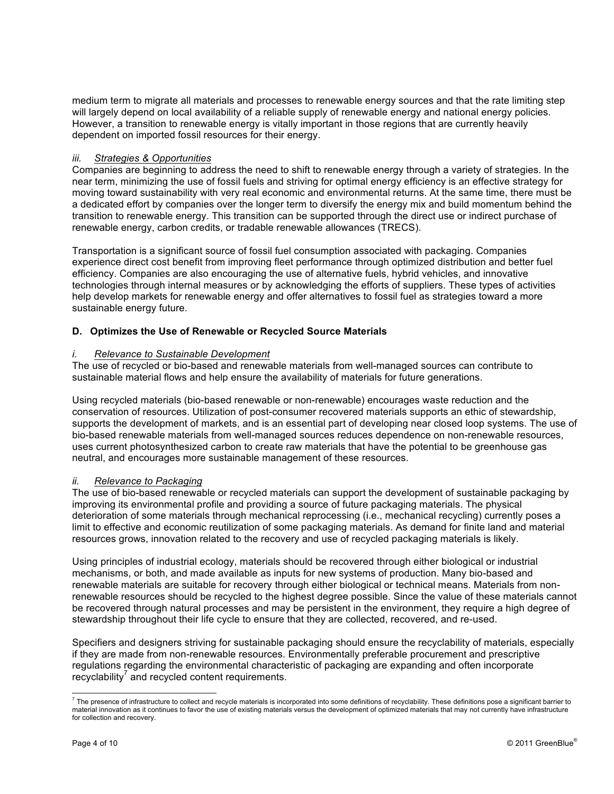medium term to migrate all materials and processes to renewable energy sources and that the rate limiting step will largely depend on local availability of a reliable supply of renewable energy and national energy policies. However, a transition to renewable energy is vitally important in those regions that are currently heavily dependent on imported fossil resources for their energy.

### *iii. Strategies & Opportunities*

Companies are beginning to address the need to shift to renewable energy through a variety of strategies. In the near term, minimizing the use of fossil fuels and striving for optimal energy efficiency is an effective strategy for moving toward sustainability with very real economic and environmental returns. At the same time, there must be a dedicated effort by companies over the longer term to diversify the energy mix and build momentum behind the transition to renewable energy. This transition can be supported through the direct use or indirect purchase of renewable energy, carbon credits, or tradable renewable allowances (TRECS).

Transportation is a significant source of fossil fuel consumption associated with packaging. Companies experience direct cost benefit from improving fleet performance through optimized distribution and better fuel efficiency. Companies are also encouraging the use of alternative fuels, hybrid vehicles, and innovative technologies through internal measures or by acknowledging the efforts of suppliers. These types of activities help develop markets for renewable energy and offer alternatives to fossil fuel as strategies toward a more sustainable energy future.

# **D. Optimizes the Use of Renewable or Recycled Source Materials**

#### *i. Relevance to Sustainable Development*

The use of recycled or bio-based and renewable materials from well-managed sources can contribute to sustainable material flows and help ensure the availability of materials for future generations.

Using recycled materials (bio-based renewable or non-renewable) encourages waste reduction and the conservation of resources. Utilization of post-consumer recovered materials supports an ethic of stewardship, supports the development of markets, and is an essential part of developing near closed loop systems. The use of bio-based renewable materials from well-managed sources reduces dependence on non-renewable resources, uses current photosynthesized carbon to create raw materials that have the potential to be greenhouse gas neutral, and encourages more sustainable management of these resources.

#### *ii. Relevance to Packaging*

The use of bio-based renewable or recycled materials can support the development of sustainable packaging by improving its environmental profile and providing a source of future packaging materials. The physical deterioration of some materials through mechanical reprocessing (i.e., mechanical recycling) currently poses a limit to effective and economic reutilization of some packaging materials. As demand for finite land and material resources grows, innovation related to the recovery and use of recycled packaging materials is likely.

Using principles of industrial ecology, materials should be recovered through either biological or industrial mechanisms, or both, and made available as inputs for new systems of production. Many bio-based and renewable materials are suitable for recovery through either biological or technical means. Materials from nonrenewable resources should be recycled to the highest degree possible. Since the value of these materials cannot be recovered through natural processes and may be persistent in the environment, they require a high degree of stewardship throughout their life cycle to ensure that they are collected, recovered, and re-used.

Specifiers and designers striving for sustainable packaging should ensure the recyclability of materials, especially if they are made from non-renewable resources. Environmentally preferable procurement and prescriptive regulations regarding the environmental characteristic of packaging are expanding and often incorporate  $recyclability'$  and recycled content requirements.

 $^7$  The presence of infrastructure to collect and recycle materials is incorporated into some definitions of recyclability. These definitions pose a significant barrier to material innovation as it continues to favor the use of existing materials versus the development of optimized materials that may not currently have infrastructure for collection and recovery.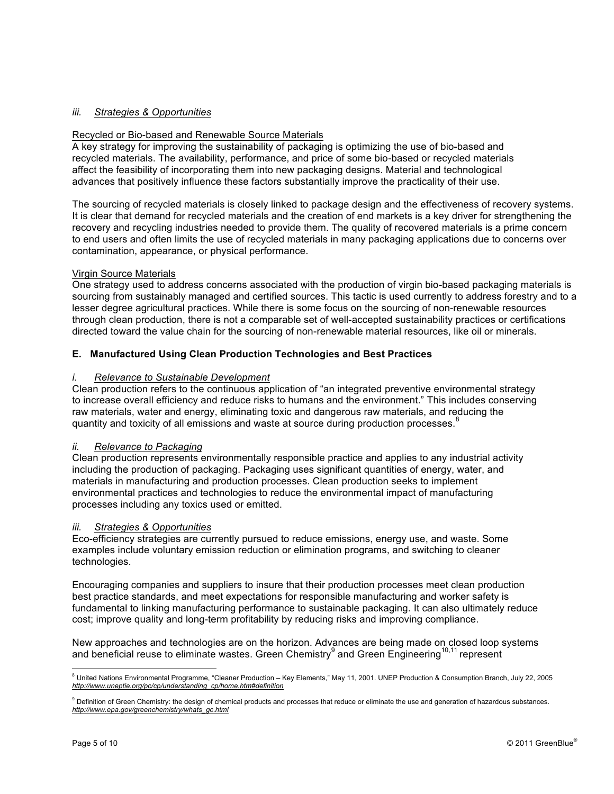# *iii. Strategies & Opportunities*

### Recycled or Bio-based and Renewable Source Materials

A key strategy for improving the sustainability of packaging is optimizing the use of bio-based and recycled materials. The availability, performance, and price of some bio-based or recycled materials affect the feasibility of incorporating them into new packaging designs. Material and technological advances that positively influence these factors substantially improve the practicality of their use.

The sourcing of recycled materials is closely linked to package design and the effectiveness of recovery systems. It is clear that demand for recycled materials and the creation of end markets is a key driver for strengthening the recovery and recycling industries needed to provide them. The quality of recovered materials is a prime concern to end users and often limits the use of recycled materials in many packaging applications due to concerns over contamination, appearance, or physical performance.

#### Virgin Source Materials

One strategy used to address concerns associated with the production of virgin bio-based packaging materials is sourcing from sustainably managed and certified sources. This tactic is used currently to address forestry and to a lesser degree agricultural practices. While there is some focus on the sourcing of non-renewable resources through clean production, there is not a comparable set of well-accepted sustainability practices or certifications directed toward the value chain for the sourcing of non-renewable material resources, like oil or minerals.

# **E. Manufactured Using Clean Production Technologies and Best Practices**

#### *i. Relevance to Sustainable Development*

Clean production refers to the continuous application of "an integrated preventive environmental strategy to increase overall efficiency and reduce risks to humans and the environment." This includes conserving raw materials, water and energy, eliminating toxic and dangerous raw materials, and reducing the quantity and toxicity of all emissions and waste at source during production processes.<sup>8</sup>

### *ii. Relevance to Packaging*

Clean production represents environmentally responsible practice and applies to any industrial activity including the production of packaging. Packaging uses significant quantities of energy, water, and materials in manufacturing and production processes. Clean production seeks to implement environmental practices and technologies to reduce the environmental impact of manufacturing processes including any toxics used or emitted.

#### *iii. Strategies & Opportunities*

Eco-efficiency strategies are currently pursued to reduce emissions, energy use, and waste. Some examples include voluntary emission reduction or elimination programs, and switching to cleaner technologies.

Encouraging companies and suppliers to insure that their production processes meet clean production best practice standards, and meet expectations for responsible manufacturing and worker safety is fundamental to linking manufacturing performance to sustainable packaging. It can also ultimately reduce cost; improve quality and long-term profitability by reducing risks and improving compliance.

New approaches and technologies are on the horizon. Advances are being made on closed loop systems and beneficial reuse to eliminate wastes. Green Chemistry<sup>9</sup> and Green Engineering<sup>10,11</sup> represent

<sup>&</sup>lt;sup>8</sup> United Nations Environmental Programme, "Cleaner Production – Key Elements," May 11, 2001. UNEP Production & Consumption Branch, July 22, 2005 *http://www.uneptie.org/pc/cp/understanding\_cp/home.htm#definition*

<sup>&</sup>lt;sup>9</sup> Definition of Green Chemistry: the design of chemical products and processes that reduce or eliminate the use and generation of hazardous substances. *http://www.epa.gov/greenchemistry/whats\_gc.html*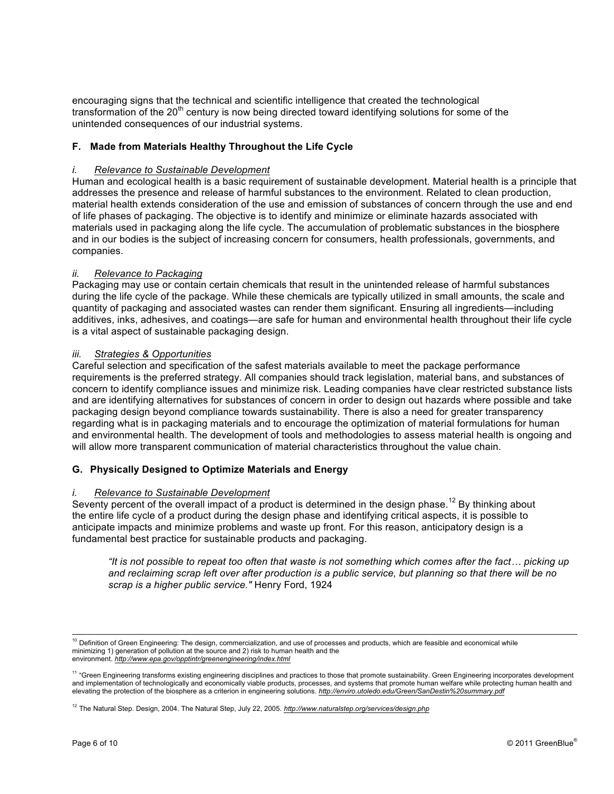encouraging signs that the technical and scientific intelligence that created the technological transformation of the 20<sup>th</sup> century is now being directed toward identifying solutions for some of the unintended consequences of our industrial systems.

# **F. Made from Materials Healthy Throughout the Life Cycle**

#### *i. Relevance to Sustainable Development*

Human and ecological health is a basic requirement of sustainable development. Material health is a principle that addresses the presence and release of harmful substances to the environment. Related to clean production, material health extends consideration of the use and emission of substances of concern through the use and end of life phases of packaging. The objective is to identify and minimize or eliminate hazards associated with materials used in packaging along the life cycle. The accumulation of problematic substances in the biosphere and in our bodies is the subject of increasing concern for consumers, health professionals, governments, and companies.

#### *ii. Relevance to Packaging*

Packaging may use or contain certain chemicals that result in the unintended release of harmful substances during the life cycle of the package. While these chemicals are typically utilized in small amounts, the scale and quantity of packaging and associated wastes can render them significant. Ensuring all ingredients—including additives, inks, adhesives, and coatings—are safe for human and environmental health throughout their life cycle is a vital aspect of sustainable packaging design.

#### *iii. Strategies & Opportunities*

Careful selection and specification of the safest materials available to meet the package performance requirements is the preferred strategy. All companies should track legislation, material bans, and substances of concern to identify compliance issues and minimize risk. Leading companies have clear restricted substance lists and are identifying alternatives for substances of concern in order to design out hazards where possible and take packaging design beyond compliance towards sustainability. There is also a need for greater transparency regarding what is in packaging materials and to encourage the optimization of material formulations for human and environmental health. The development of tools and methodologies to assess material health is ongoing and will allow more transparent communication of material characteristics throughout the value chain.

#### **G. Physically Designed to Optimize Materials and Energy**

#### *i. Relevance to Sustainable Development*

Seventy percent of the overall impact of a product is determined in the design phase.<sup>12</sup> By thinking about the entire life cycle of a product during the design phase and identifying critical aspects, it is possible to anticipate impacts and minimize problems and waste up front. For this reason, anticipatory design is a fundamental best practice for sustainable products and packaging.

*"It is not possible to repeat too often that waste is not something which comes after the fact! picking up and reclaiming scrap left over after production is a public service, but planning so that there will be no scrap is a higher public service."* Henry Ford, 1924

<sup>&</sup>lt;sup>10</sup> Definition of Green Engineering: The design, commercialization, and use of processes and products, which are feasible and economical while minimizing 1) generation of pollution at the source and 2) risk to human health and the environment. *http://www.epa.gov/opptintr/greenengineering/index.html*

<sup>&</sup>lt;sup>11</sup> "Green Engineering transforms existing engineering disciplines and practices to those that promote sustainability. Green Engineering incorporates development and implementation of technologically and economically viable products, processes, and systems that promote human welfare while protecting human health and elevating the protection of the biosphere as a criterion in engineering solutions. *http://enviro.utoledo.edu/Green/SanDestin%20summary.pdf*

<sup>12</sup> The Natural Step. Design, 2004. The Natural Step, July 22, 2005. *http://www.naturalstep.org/services/design.php*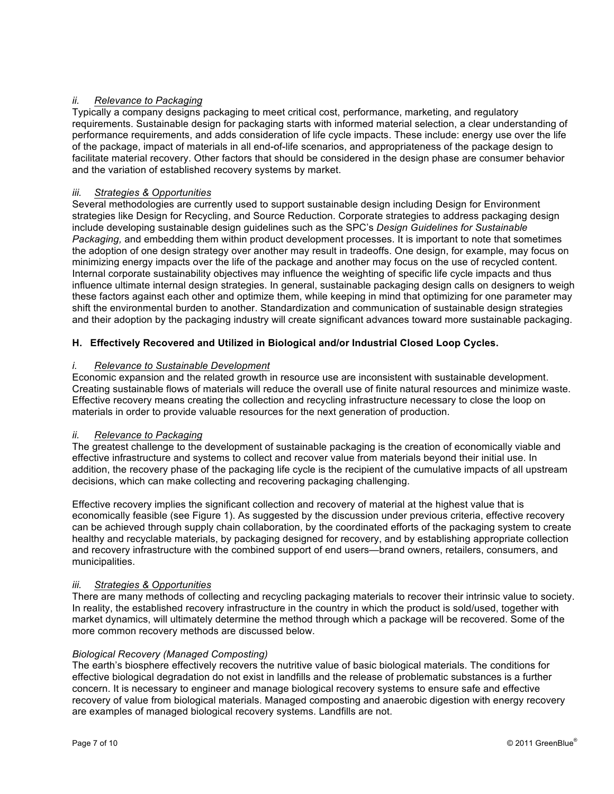# *ii. Relevance to Packaging*

Typically a company designs packaging to meet critical cost, performance, marketing, and regulatory requirements. Sustainable design for packaging starts with informed material selection, a clear understanding of performance requirements, and adds consideration of life cycle impacts. These include: energy use over the life of the package, impact of materials in all end-of-life scenarios, and appropriateness of the package design to facilitate material recovery. Other factors that should be considered in the design phase are consumer behavior and the variation of established recovery systems by market.

# *iii. Strategies & Opportunities*

Several methodologies are currently used to support sustainable design including Design for Environment strategies like Design for Recycling, and Source Reduction. Corporate strategies to address packaging design include developing sustainable design guidelines such as the SPC's *Design Guidelines for Sustainable Packaging,* and embedding them within product development processes. It is important to note that sometimes the adoption of one design strategy over another may result in tradeoffs. One design, for example, may focus on minimizing energy impacts over the life of the package and another may focus on the use of recycled content. Internal corporate sustainability objectives may influence the weighting of specific life cycle impacts and thus influence ultimate internal design strategies. In general, sustainable packaging design calls on designers to weigh these factors against each other and optimize them, while keeping in mind that optimizing for one parameter may shift the environmental burden to another. Standardization and communication of sustainable design strategies and their adoption by the packaging industry will create significant advances toward more sustainable packaging.

# **H. Effectively Recovered and Utilized in Biological and/or Industrial Closed Loop Cycles.**

# *i. Relevance to Sustainable Development*

Economic expansion and the related growth in resource use are inconsistent with sustainable development. Creating sustainable flows of materials will reduce the overall use of finite natural resources and minimize waste. Effective recovery means creating the collection and recycling infrastructure necessary to close the loop on materials in order to provide valuable resources for the next generation of production.

#### *ii. Relevance to Packaging*

The greatest challenge to the development of sustainable packaging is the creation of economically viable and effective infrastructure and systems to collect and recover value from materials beyond their initial use. In addition, the recovery phase of the packaging life cycle is the recipient of the cumulative impacts of all upstream decisions, which can make collecting and recovering packaging challenging.

Effective recovery implies the significant collection and recovery of material at the highest value that is economically feasible (see Figure 1). As suggested by the discussion under previous criteria, effective recovery can be achieved through supply chain collaboration, by the coordinated efforts of the packaging system to create healthy and recyclable materials, by packaging designed for recovery, and by establishing appropriate collection and recovery infrastructure with the combined support of end users—brand owners, retailers, consumers, and municipalities.

#### *iii. Strategies & Opportunities*

There are many methods of collecting and recycling packaging materials to recover their intrinsic value to society. In reality, the established recovery infrastructure in the country in which the product is sold/used, together with market dynamics, will ultimately determine the method through which a package will be recovered. Some of the more common recovery methods are discussed below.

#### *Biological Recovery (Managed Composting)*

The earth's biosphere effectively recovers the nutritive value of basic biological materials. The conditions for effective biological degradation do not exist in landfills and the release of problematic substances is a further concern. It is necessary to engineer and manage biological recovery systems to ensure safe and effective recovery of value from biological materials. Managed composting and anaerobic digestion with energy recovery are examples of managed biological recovery systems. Landfills are not.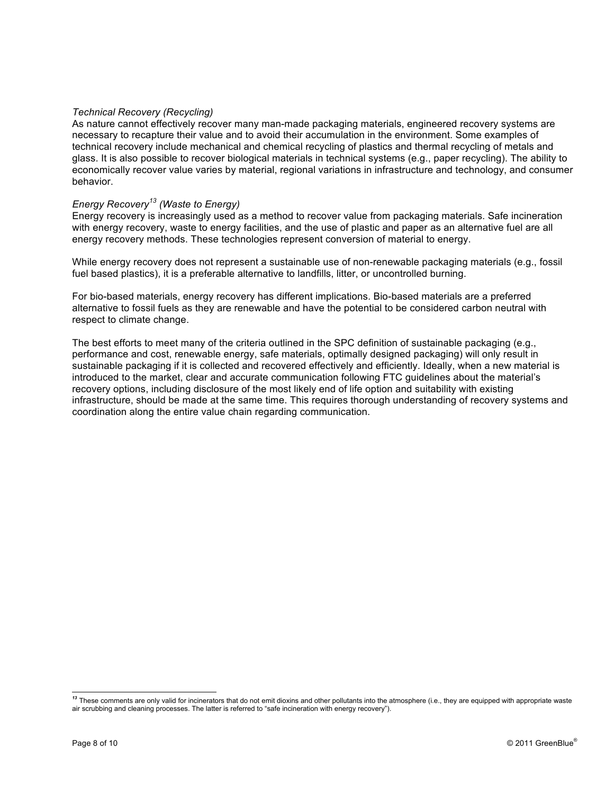#### *Technical Recovery (Recycling)*

As nature cannot effectively recover many man-made packaging materials, engineered recovery systems are necessary to recapture their value and to avoid their accumulation in the environment. Some examples of technical recovery include mechanical and chemical recycling of plastics and thermal recycling of metals and glass. It is also possible to recover biological materials in technical systems (e.g., paper recycling). The ability to economically recover value varies by material, regional variations in infrastructure and technology, and consumer behavior.

#### *Energy Recovery<sup>13</sup> (Waste to Energy)*

Energy recovery is increasingly used as a method to recover value from packaging materials. Safe incineration with energy recovery, waste to energy facilities, and the use of plastic and paper as an alternative fuel are all energy recovery methods. These technologies represent conversion of material to energy.

While energy recovery does not represent a sustainable use of non-renewable packaging materials (e.g., fossil fuel based plastics), it is a preferable alternative to landfills, litter, or uncontrolled burning.

For bio-based materials, energy recovery has different implications. Bio-based materials are a preferred alternative to fossil fuels as they are renewable and have the potential to be considered carbon neutral with respect to climate change.

The best efforts to meet many of the criteria outlined in the SPC definition of sustainable packaging (e.g., performance and cost, renewable energy, safe materials, optimally designed packaging) will only result in sustainable packaging if it is collected and recovered effectively and efficiently. Ideally, when a new material is introduced to the market, clear and accurate communication following FTC guidelines about the material's recovery options, including disclosure of the most likely end of life option and suitability with existing infrastructure, should be made at the same time. This requires thorough understanding of recovery systems and coordination along the entire value chain regarding communication.

<sup>&</sup>lt;sup>13</sup> These comments are only valid for incinerators that do not emit dioxins and other pollutants into the atmosphere (i.e., they are equipped with appropriate waste air scrubbing and cleaning processes. The latter is referred to "safe incineration with energy recovery").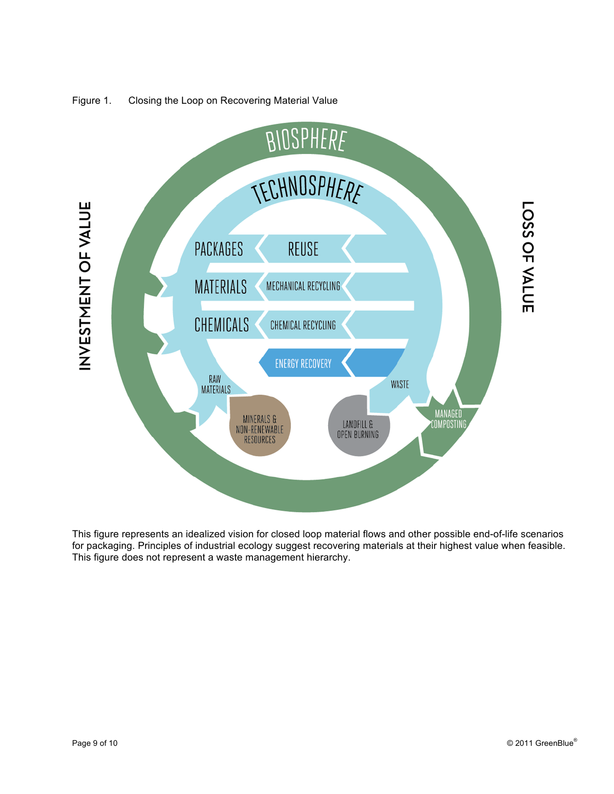

# Figure 1. Closing the Loop on Recovering Material Value

This figure represents an idealized vision for closed loop material flows and other possible end-of-life scenarios for packaging. Principles of industrial ecology suggest recovering materials at their highest value when feasible. This figure does not represent a waste management hierarchy.